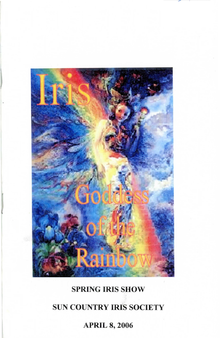

# SPRING IRIS SHOW

# SUN COUNTRY IRIS SOCIETY

# APRIL 8, 2006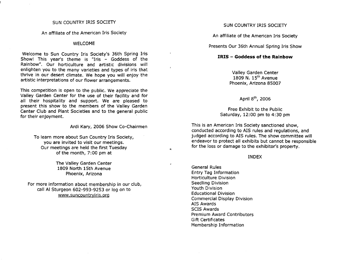#### SUN COUNTRY IRIS SOCIETY

An affiliate of the American Iris Society

#### WELCOME

Welcome to Sun Country Iris Society's 36th Spring Iris Show! This year's theme is "Iris - Goddess of the Rainbow". Our horticulture and artistic divisions will enlighten you to the many varieties and types of iris that thrive in our desert climate. We hope you will enjoy the artistic interpretations of our flower arrangements.

This competition is open to the public. We appreciate the Valley Garden Center for the use of their facility and for all their hospitality and support. We are pleased to present this show to the members of the Valley Garden Center Club and Plant Societies and to the general public for their enjoyment.

#### Ardi Kary, 2006 Show Co-Chairmen

ś.

To learn more about Sun Country Iris Society, you are invited to visit our meetings. Our meetings are held the first Tuesday of the month, 7:00 pm at

> The Valley Garden Center 1809 North 15th Avenue Phoenix, Arizona

For more information about membership in our club, call AI Sturgeon 602-993-9253 or log on to www.suncountryiris.org

### SUN COUNTRY IRIS SOCIETY

An affiliate of the American Iris Society

Presents Our 36th Annual Spring Iris Show

### **IRIS -Goddess of the Rainbow**

Valley Garden Center  $1809$  N.  $15<sup>th</sup>$  Avenue Phoenix, Arizona 85007

April 8<sup>th</sup>, 2006

Free Exhibit to the Public Saturday, 12:00 pm to 4:30 pm

This is an American Iris Society sanctioned show, conducted according to AIS rules and regulations, and judged according to AIS rules. The show committee will endeavor to protect all exhibits but cannot be responsible for the loss or damage to the exhibitor's property.

#### INDEX

General Rules Entry Tag Information Horticulture Division Seedling Division Youth Division Educational Division Commercial Display Division AIS Awards SCIS Awards Premium Award Contributors Gift Certificates Membership Information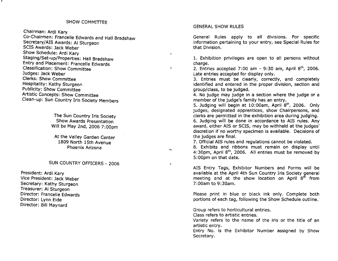Chairman: Ardi Kary

Co-Chairmen: Francelle Edwards and Hall Bradshaw Secretary/AIS Awards: AI Sturgeon SCIS Awards: Jack Weber Show Schedule: Ardi Kary . Staging/Set-up/Properties: Hall Bradshaw Entry and Placement: Francelle Edwards Classification: Show Committee Judges: Jack Weber Clerks: Show Committee Hospitality: Kathy Sturgeon Publicity: Show Committee Artistic Concepts: Show Committee Clean-up: Sun Country Iris Society Members

> The Sun Country Iris Society Show Awards Presentation Will be May 2nd, 2006 7: OOpm

At the Valley Garden Center 1809 North 15th Avenue Phoenix Arizona

# SUN COUNTRY OFFICERS - 2006

President: Ardi Kary Vice President: Jack Weber Secretary: Kathy Sturgeon Treasurer: AI Sturgeon Director: Francelle Edwards Director: Lynn Eide Director: Bill Maynard

#### GENERAL SHOW RULES

v.

 $\pmb{\delta}$ 

 $\mathbf{q}_{\mathbf{M}}$ 

 $\mathcal{P}$ 

General Rules apply to all divisions. For specific information pertaining to your entry, see Special Rules for that Division.

1. Exhibition privileges are open to all persons without charge.

2. Entries accepted 7:00 am - 9:30 am, April  $8<sup>th</sup>$ , 2006. Late entries accepted for display only.

3. Entries must be clearly, correctly, and completely identified and entered in the proper division, section and group/class, to be judged.

4. No judge may judge in a section where the judge or a member of the judge's family has an entry.

5. Judging will begin at 10:00am, April  $8<sup>th</sup>$ , 2006. Only judges, designated apprentices, show Chairpersons, and clerks are permitted in the exhibition area during judging. 6. Judging will be done in accordance to AIS rules. Any award, either AIS or SCIS, may be withheld at the judges' discretion if no worthy specimen is available. Decisions of the judges are final.

7. Official AIS rules and regulations cannot be violated.

8. Exhibits and ribbons must remain on display until 4:30pm, April  $8<sup>th</sup>$ , 2006. All entries must be removed by 5:00pm on that date.

AIS Entry Tags, Exhibitor Numbers and Forms will be available at the April 4th Sun Country Iris Society general meeting and at the show location on April  $8<sup>th</sup>$  from 7:00am to 9:30am.

Please print in blue or black ink only. Complete both portions of each tag, following the Show Schedule outline.

Group refers to horticultural entries.

Class refers to artistic entries.

Variety refers to the name of the iris or the title of an artistic entry.

Entry No. is the Exhibitor Number assigned by Show Secretary.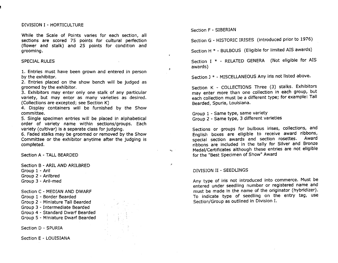#### DIVISION I - HORTICULTURE

While the Scale of Points varies for each section, all sections are scored 75 points for cultural perfection (flower and stalk) and 25 points for condition and grooming.

#### SPECIAL RULES

1. Entries must have been grown and entered in person by the exhibitor.

2. Entries placed on the show bench will be judged as groomed by the exhibitor.

3. Exhibitors may enter only one stalk of any particular variety, but may enter as many varieties as desired. (Collections are excepted; see Section K)

4. Display containers will be furnished by the Show committee.

5. Single specimen entries will be placed in alphabetical order of variety name within sections/groups. Each variety (cultivar) is a separate class for judging.

6. Faded stalks may be groomed or removed by the Show Committee or the exhibitor anytime after the judging is completed.

Section A - TALL BEARDED

Section B - ARIL AND ARILBRED Group 1 - Aril Group 2 - Arilbred Group 3 - Aril-med

Section C - MEDIAN AND DWARF

Group 1 - Border Bearded

Group 2 - Miniature Tall Bearded

Group 3 - Intermediate Bearded

Group 4 - Standard Dwarf Bearded

Group 5 - Miniature Dwarf Bearded

Section D - SPURIA

Section E - LOUISIANA

Section F - SIBERIAN

 $\mathbf{c}$ 

Section G - HISTORIC IRISES (introduced prior to 1976)

Section H \* - BULBOUS (Eligible for limited AIS awards)

Section I \* - RELATED GENERA (Not eligible for AIS awards)

Section J \* - MISCELLANEOUS Any iris not listed above.

Section K - COLLECTIONS Three (3) stalks. Exhibitors may enter more than one collection in each group, but each collection must be a different type; for example: Tall Bearded, Spuria, Louisiana.

Group 1 - Same type, same variety Group 2 - Same type, 3 different varieties

Sections or groups for bulbous irises, collections, and English boxes are eligible to receive award ribbons, special section awards and section rosettes. ribbons are included in the tally for Silver and Bronze Medal/Certificates although these entries are not eligible for the "Best Specimen of Show" Award

#### DIVISION II - SEEDLINGS

Any type of iris not introduced into commerce. Must be entered under seedling number or registered name and must be made in the name of the originator (hybridizer). To indicate type of seedling on the entry tag, use Section/Group as outlined in Division I.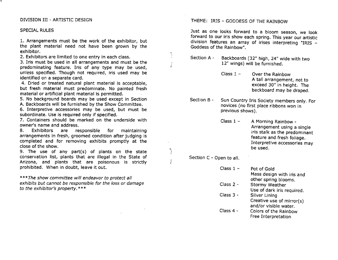## DIVISION III - ARTISTIC DESIGN

## SPECIAL RULES

1. Arrangements must be the work of the exhibitor, but the plant material need not have been grown by the exhibitor.

2. Exhibitors are limited to one entry in each class.

3. Iris must be used in all arrangements and must be the predominating feature. Iris of any type may be used, unless specified. Though not required, iris used may be identified on a separate card.

4. Dried or treated natural plant material is acceptable, but fresh material must predominate. No painted fresh material or artificial plant material is permitted.

5. No background boards may be used except in Section

A. Backboards will be furnished by the Show Committee.

6. Interpretive accessories may be used, but must be subordinate. Use is required only if specified.

7. Containers should be marked on the underside with owner's name and address.

8. Exhibitors are responsible for maintaining arrangements in fresh, groomed condition after judging is completed and for removing exhibits promptly at the close of the show.

9. The use of any part $(s)$  of plants on the state conservation list, plants that are illegal in the State of Arizona, and plants that are poisonous is strictly prohibited. When in doubt, leave it out.

\*\*\*The show committee will endeavor to protect all exhibits but cannot be responsible for the loss or damage to the exhibitor's property. \*\*\*

THEME: IRIS - GODDESS OF THE RAINBOW

Just as one looks forward to a bloom season, we look forward to our iris show each spring. This year our artistic division features an array of irises interpreting "IRIS - Goddess of the Rainbow".

- Section A Backboards (32" high, 24" wide with two 12" wings) will be furnished.
	- Class  $1 -$  Over the Rainbow A tall arrangement, not to exceed 30" in height. The backboard may be draped.
- Section B Sun Country Iris Society members only. For novices (no first place ribbons won in previous shows).
	- Class  $1 -$ A Morning Rainbow - Arrangement using a single iris stalk as the predominant feature and fresh foliage. Interpretive accessories may be used.

Section C - Open to all.

r t

| Class 1 – | Pot of Gold                |
|-----------|----------------------------|
|           | Mass design with iris and  |
|           | other spring blooms.       |
| Class 2 - | Stormy Weather             |
|           | Use of dark iris required. |
| Class 3 - | Silver Lining              |
|           | Creative use of mirror(s)  |
|           | and/or visible water.      |
| Class 4 - | Colors of the Rainbow      |
|           | Free Interpretation        |
|           |                            |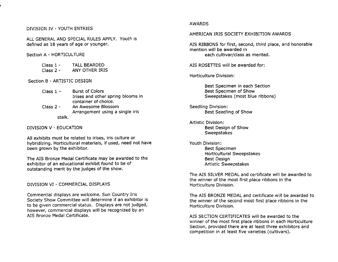## DIVISION IV - YOUTH ENTRIES

ALL GENERAL AND SPECIAL RULES APPLY. Youth is defined as 18 years of age or younger.

#### Section A - HORTICULTURE

| Class 1 - | <b>TALL BEARDED</b> |
|-----------|---------------------|
| Class 2 - | ANY OTHER IRIS      |

# Section B - ARTISTIC DESIGN

| - Class 1 – | <b>Burst of Colors</b>            |
|-------------|-----------------------------------|
|             | Irises and other spring blooms in |
|             | container of choice.              |

Class 2 stalk. An Awesome Blossom Arrangement using a single iris

# DIVISION V - EDUCATION

All exhibits must be related to irises, iris culture or hybridizing. Horticultural materials, if used, need not have been grown by the exhibitor.

The AIS Bronze Medal Certificate may be awarded to the exhibitor of an educational exhibit found to be of outstanding merit by the judges of the show.

DIVISION VI - COMMERCIAL DISPLAYS

Commercial displays are welcome. Sun Country Iris Society Show Committee will determine if an exhibitor is to be given commercial status. Displays are not judged, however, commercial displays will be recognized by an AIS Bronze Medal Certificate.

### AWARDS

## AMERICAN IRIS SOCIETY EXHIBITION AWARDS

AIS RIBBONS for first, second, third place, and honorable mention will be awarded in each cultivar/class as merited.

AIS ROSETIES will be awarded for:

Horticulture Division:

Best Specimen in each Section Best Specimen of Show Sweepstakes (most blue ribbons)

Seedling Division: Best Seedling of Show

Artistic Division: Best DeSign of Show **Sweepstakes** 

Youth Division: Best Specimen Horticultural Sweepstakes Best Design Artistic Sweepstakes

The AIS SILVER MEDAL and certificate will be awarded to the winner of the most first place ribbons in the Horticulture Division.

The AIS BRONZE MEDAL and certificate will be awarded to the winner of the second most first place ribbons in the Horticulture Division.

AIS SECTION CERTIFICATES will be awarded to the winner of the most first place ribbons in each Horticulture Section, provided there are at least three exhibitors and competition in at least five varieties (cultivars).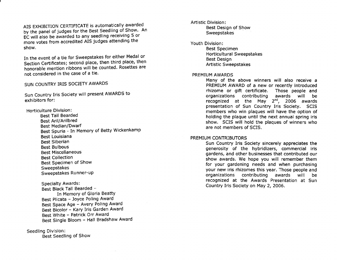AIS EXHIBITION CERTIFICATE is automatically awarded by the panel of judges for the Best Seedling of Show. An EC will also be awarded to any seedling receiving 5 or more votes from accredited AIS judges attending the show.

In the event of a tie for Sweepstakes for either Medal or Section Certificates; second place, then third place, then honorable mention ribbons will be counted. Rosettes are not considered in the case of a tie.

# SUN COUNTRY IRIS SOCIETY AWARDS

Sun Country Iris Society will present AWARDS to exhibitors for:

Horticulture Division:

Best Tall Bearded Best Aril/Arilbred Best Median/Dwarf Best Spuria - In Memory of Betty Wickenkamp Best Louisiana Best Siberian Best Bulbous Best Miscellaneous Best Collection Best Specimen of Show<br>Sweepstakes Sweepstakes Runner-up

Specialty Awards: Best Black Tall Bearded -In Memory of Gloria Beatty Best Plicata - Joyce Poling Award Best Space Age - Avery Poling Award Best Bicolor - Kary Iris Garden Award Best White - Patrick Orr Award Best Single Bloom - Hall Bradshaw Award

Seedling Division: Best Seedling of Show Artistic Division:

Best Design of Show **Sweepstakes** 

Youth Division:

Best Specimen Horticultural Sweepstakes Best Design Artistic Sweepstakes

#### PREMIUM AWARDS

Many of the above winners will also receive a PREMIUM AWARD of a new or recently introduced rhizome or gift certificate. Those people and organizations contributing awards will be recognized at the May  $2^{nd}$ , 2006 awards presentation of Sun Country Iris Society. SCIS members who win plaques will have the option of holding the plaque until the next annual spring iris show. SCIS will hold the plaques of winners who are not members of SCIS.

# PREMIUM CONTRIBUTORS

Sun Country Iris Society sincerely appreciates the generosity of the hybridizers, commercial iris gardens, and other businesses that contributed our show awards. We hope you will remember them for your gardening needs and when purchasing your new iris rhizomes this year. Those people and organizations contributing awards will be recognized at the Awards Presentation at Sun Country Iris SOCiety on May 2, 2006.